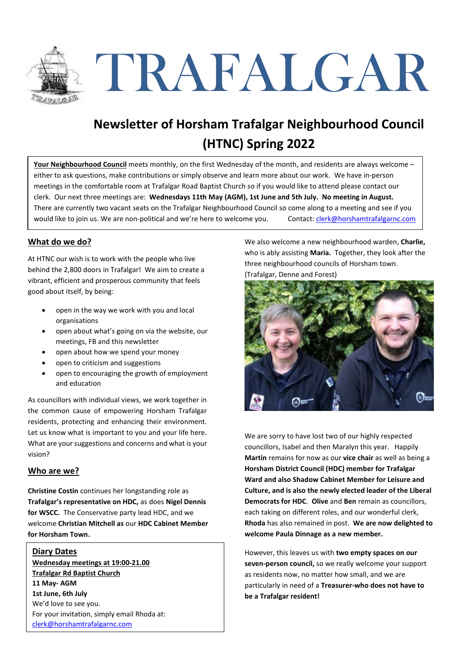

# TRAFALGAR

# **Newsletter of Horsham Trafalgar Neighbourhood Council (HTNC) Spring 2022**

**Your Neighbourhood Council** meets monthly, on the first Wednesday of the month, and residents are always welcome – either to ask questions, make contributions or simply observe and learn more about our work. We have in-person meetings in the comfortable room at Trafalgar Road Baptist Church so if you would like to attend please contact our clerk. Our next three meetings are: **Wednesdays 11th May (AGM), 1st June and 5th July. No meeting in August.** There are currently two vacant seats on the Trafalgar Neighbourhood Council so come along to a meeting and see if you would like to join us. We are non-political and we're here to welcome you. Contact: clerk@horshamtrafalgarnc.com

#### **What do we do?**

At HTNC our wish is to work with the people who live behind the 2,800 doors in Trafalgar! We aim to create a vibrant, efficient and prosperous community that feels good about itself, by being:

- open in the way we work with you and local organisations
- open about what's going on via the website, our meetings, FB and this newsletter
- open about how we spend your money
- open to criticism and suggestions
- open to encouraging the growth of employment and education

As councillors with individual views, we work together in the common cause of empowering Horsham Trafalgar residents, protecting and enhancing their environment. Let us know what is important to you and your life here. What are your suggestions and concerns and what is your vision?

#### **Who are we?**

**Christine Costin** continues her longstanding role as **Trafalgar's representative on HDC,** as does **Nigel Dennis for WSCC.** The Conservative party lead HDC, and we welcome **Christian Mitchell as** our **HDC Cabinet Member for Horsham Town.**

#### **Diary Dates**

**Wednesday meetings at 19:00-21.00 Trafalgar Rd Baptist Church 11 May- AGM 1st June, 6th July** We'd love to see you. For your invitation, simply email Rhoda at: clerk@horshamtrafalgarnc.com

We also welcome a new neighbourhood warden, **Charlie,**  who is ably assisting **Maria.** Together, they look after the three neighbourhood councils of Horsham town.

(Trafalgar, Denne and Forest)



We are sorry to have lost two of our highly respected councillors, Isabel and then Maralyn this year. Happily **Martin** remains for now as our **vice chair** as well as being a **Horsham District Council (HDC) member for Trafalgar Ward and also Shadow Cabinet Member for Leisure and Culture, and is also the newly elected leader of the Liberal Democrats for HDC**. **Olive** and **Ben** remain as councillors, each taking on different roles, and our wonderful clerk, **Rhoda** has also remained in post. **We are now delighted to welcome Paula Dinnage as a new member.** 

However, this leaves us with **two empty spaces on our seven-person council,** so we really welcome your support as residents now, no matter how small, and we are particularly in need of a **Treasurer-who does not have to be a Trafalgar resident!**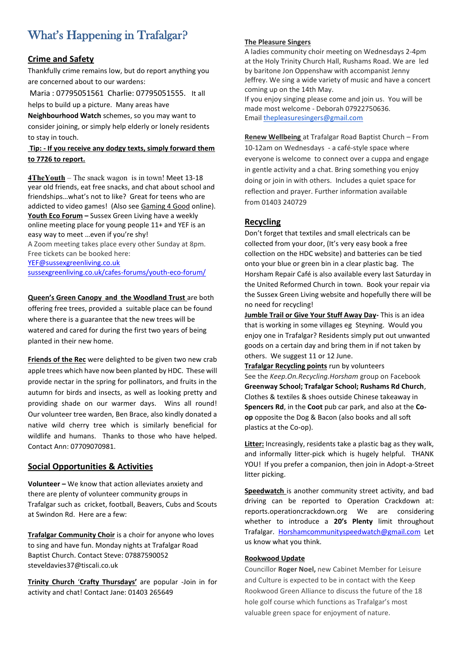# What's Happening in Trafalgar?

#### **Crime and Safety**

Thankfully crime remains low, but do report anything you are concerned about to our wardens:

Maria : 07795051561 Charlie: 07795051555. It all helps to build up a picture. Many areas have

**Neighbourhood Watch** schemes, so you may want to consider joining, or simply help elderly or lonely residents to stay in touch.

#### **Tip: - If you receive any dodgy texts, simply forward them to 7726 to report.**

**4TheYouth** – The snack wagon is in town! Meet 13-18 year old friends, eat free snacks, and chat about school and friendships…what's not to like? Great for teens who are addicted to video games! (Also see Gaming 4 Good online). **Youth Eco Forum –** Sussex Green Living have a weekly online meeting place for young people 11+ and YEF is an easy way to meet …even if you're shy!

A Zoom meeting takes place every other Sunday at 8pm. Free tickets can be booked here:

YEF@sussexgreenliving.co.uk sussexgreenliving.co.uk/cafes-forums/youth-eco-forum/

#### **Queen's Green Canopy and the Woodland Trust** are both

offering free trees, provided a suitable place can be found where there is a guarantee that the new trees will be watered and cared for during the first two years of being planted in their new home.

**Friends of the Rec** were delighted to be given two new crab apple trees which have now been planted by HDC. These will provide nectar in the spring for pollinators, and fruits in the autumn for birds and insects, as well as looking pretty and providing shade on our warmer days. Wins all round! Our volunteer tree warden, Ben Brace, also kindly donated a native wild cherry tree which is similarly beneficial for wildlife and humans. Thanks to those who have helped. Contact Ann: 07709070981.

#### **Social Opportunities & Activities**

**Volunteer –** We know that action alleviates anxiety and there are plenty of volunteer community groups in Trafalgar such as cricket, football, Beavers, Cubs and Scouts at Swindon Rd. Here are a few:

**Trafalgar Community Choir** is a choir for anyone who loves to sing and have fun. Monday nights at Trafalgar Road Baptist Church. Contact Steve: 07887590052 steveldavies37@tiscali.co.uk

**Trinity Church** '**Crafty Thursdays'** are popular -Join in for activity and chat! Contact Jane: 01403 265649

#### **The Pleasure Singers**

A ladies community choir meeting on Wednesdays 2-4pm at the Holy Trinity Church Hall, Rushams Road. We are led by baritone Jon Oppenshaw with accompanist Jenny Jeffrey. We sing a wide variety of music and have a concert coming up on the 14th May.

If you enjoy singing please come and join us. You will be made most welcome - Deborah 07922750636. Email thepleasuresingers@gmail.com

**Renew Wellbeing** at Trafalgar Road Baptist Church – From 10-12am on Wednesdays - a café-style space where everyone is welcome to connect over a cuppa and engage in gentle activity and a chat. Bring something you enjoy doing or join in with others. Includes a quiet space for reflection and prayer. Further information available from 01403 240729

#### **Recycling**

Don't forget that textiles and small electricals can be collected from your door, (It's very easy book a free collection on the HDC website) and batteries can be tied onto your blue or green bin in a clear plastic bag. The Horsham Repair Café is also available every last Saturday in the United Reformed Church in town. Book your repair via the Sussex Green Living website and hopefully there will be no need for recycling!

**Jumble Trail or Give Your Stuff Away Day-** This is an idea that is working in some villages eg Steyning. Would you enjoy one in Trafalgar? Residents simply put out unwanted goods on a certain day and bring them in if not taken by others. We suggest 11 or 12 June.

**Trafalgar Recycling points** run by volunteers See the *Keep.On.Recycling.Horsham* group on Facebook **Greenway School; Trafalgar School; Rushams Rd Church**, Clothes & textiles & shoes outside Chinese takeaway in **Spencers Rd**, in the **Coot** pub car park, and also at the **Coop** opposite the Dog & Bacon (also books and all soft plastics at the Co-op).

**Litter:** Increasingly, residents take a plastic bag as they walk, and informally litter-pick which is hugely helpful. THANK YOU! If you prefer a companion, then join in Adopt-a-Street litter picking.

**Speedwatch** is another community street activity, and bad driving can be reported to Operation Crackdown at: reports.operationcrackdown.org We are considering whether to introduce a **20's Plenty** limit throughout Trafalgar. Horshamcommunityspeedwatch@gmail.com Let us know what you think.

#### **Rookwood Update**

Councillor **Roger Noel,** new Cabinet Member for Leisure and Culture is expected to be in contact with the Keep Rookwood Green Alliance to discuss the future of the 18 hole golf course which functions as Trafalgar's most valuable green space for enjoyment of nature.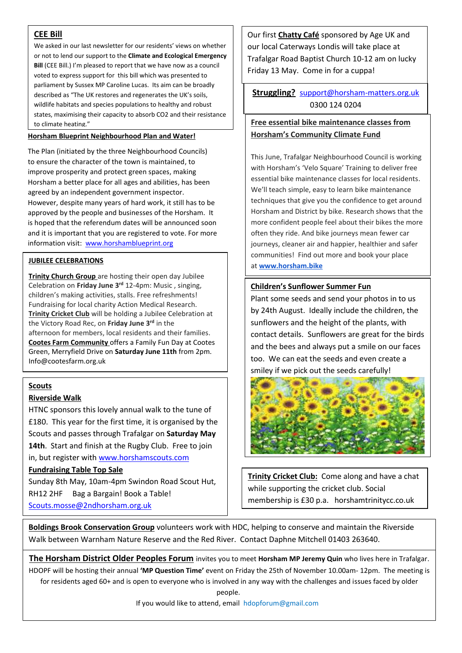#### **CEE Bill**

We asked in our last newsletter for our residents' views on whether or not to lend our support to the **Climate and Ecological Emergency Bill** (CEE Bill.) I'm pleased to report that we have now as a council voted to express support for this bill which was presented to parliament by Sussex MP Caroline Lucas. Its aim can be broadly described as "The UK restores and regenerates the UK's soils, wildlife habitats and species populations to healthy and robust states, maximising their capacity to absorb CO2 and their resistance to climate heating." **Free essential bike maintenance classes from** 

#### **Horsham Blueprint Neighbourhood Plan and Water!**

The Plan (initiated by the three Neighbourhood Councils) to ensure the character of the town is maintained, to improve prosperity and protect green spaces, making Horsham a better place for all ages and abilities, has been agreed by an independent government inspector. However, despite many years of hard work, it still has to be approved by the people and businesses of the Horsham. It is hoped that the referendum dates will be announced soon and it is important that you are registered to vote. For more information visit: www.horshamblueprint.org

#### **JUBILEE CELEBRATIONS**

**Trinity Church Group** are hosting their open day Jubilee Celebration on **Friday June 3rd** 12-4pm: Music , singing, children's making activities, stalls. Free refreshments! Fundraising for local charity Action Medical Research. **Trinity Cricket Club** will be holding a Jubilee Celebration at the Victory Road Rec, on **Friday June 3rd** in the afternoon for members, local residents and their families. **Cootes Farm Community** offers a Family Fun Day at Cootes Green, Merryfield Drive on **Saturday June 11th** from 2pm. Info@cootesfarm.org.uk

### . **Scouts**

#### **Riverside Walk**

HTNC sponsors this lovely annual walk to the tune of £180. This year for the first time, it is organised by the Scouts and passes through Trafalgar on **Saturday May 14th**. Start and finish at the Rugby Club. Free to join in, but register with www.horshamscouts.com

#### **Fundraising Table Top Sale**

 Scouts.mosse@2ndhorsham.org.uk Sunday 8th May, 10am-4pm Swindon Road Scout Hut, RH12 2HF Bag a Bargain! Book a Table!

Our first **Chatty Café** sponsored by Age UK and our local Caterways Londis will take place at Trafalgar Road Baptist Church 10-12 am on lucky Friday 13 May. Come in for a cuppa!

**Struggling?** support@horsham-matters.org.uk 0300 124 0204

# **Horsham's Community Climate Fund**

This June, Trafalgar Neighbourhood Council is working with Horsham's 'Velo Square' Training to deliver free essential bike maintenance classes for local residents. We'll teach simple, easy to learn bike maintenance techniques that give you the confidence to get around Horsham and District by bike. Research shows that the more confident people feel about their bikes the more often they ride. And bike journeys mean fewer car journeys, cleaner air and happier, healthier and safer communities!Find out more and book your place at **www.horsham.bike**

#### **Children's Sunflower Summer Fun**

Plant some seeds and send your photos in to us by 24th August. Ideally include the children, the sunflowers and the height of the plants, with contact details. Sunflowers are great for the birds and the bees and always put a smile on our faces too. We can eat the seeds and even create a smiley if we pick out the seeds carefully!



**Trinity Cricket Club:** Come along and have a chat while supporting the cricket club. Social membership is £30 p.a. horshamtrinitycc.co.uk

**Boldings Brook Conservation Group** volunteers work with HDC, helping to conserve and maintain the Riverside Walk between Warnham Nature Reserve and the Red River. Contact Daphne Mitchell 01403 263640.

**The Horsham District Older Peoples Forum** invites you to meet **Horsham MP Jeremy Quin** who lives here in Trafalgar. HDOPF will be hosting their annual **'MP Question Time'** event on Friday the 25th of November 10.00am- 12pm. The meeting is for residents aged 60+ and is open to everyone who is involved in any way with the challenges and issues faced by older

people.

If you would like to attend, email hdopforum@gmail.com